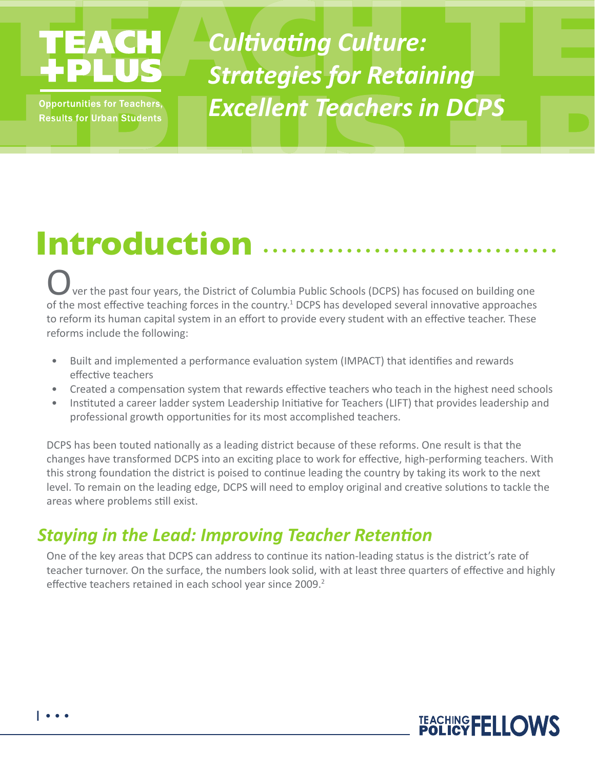# **/ A**

**Opportunities for Teachers, Results for Urban Students** 

*Cultivating Culture: Strategies for Retaining Excellent Teachers in DCPS*

## **Introduction** .

Ver the past four years, the District of Columbia Public Schools (DCPS) has focused on building one of the most effective teaching forces in the country.<sup>1</sup> DCPS has developed several innovative approaches to reform its human capital system in an effort to provide every student with an effective teacher. These reforms include the following:

- Built and implemented a performance evaluation system (IMPACT) that identifies and rewards effective teachers
- Created a compensation system that rewards effective teachers who teach in the highest need schools
- Instituted a career ladder system Leadership Initiative for Teachers (LIFT) that provides leadership and professional growth opportunities for its most accomplished teachers.

DCPS has been touted nationally as a leading district because of these reforms. One result is that the changes have transformed DCPS into an exciting place to work for effective, high-performing teachers. With this strong foundation the district is poised to continue leading the country by taking its work to the next level. To remain on the leading edge, DCPS will need to employ original and creative solutions to tackle the areas where problems still exist.

### *Staying in the Lead: Improving Teacher Retention*

One of the key areas that DCPS can address to continue its nation-leading status is the district's rate of teacher turnover. On the surface, the numbers look solid, with at least three quarters of effective and highly effective teachers retained in each school year since 2009.<sup>2</sup>



1 • • •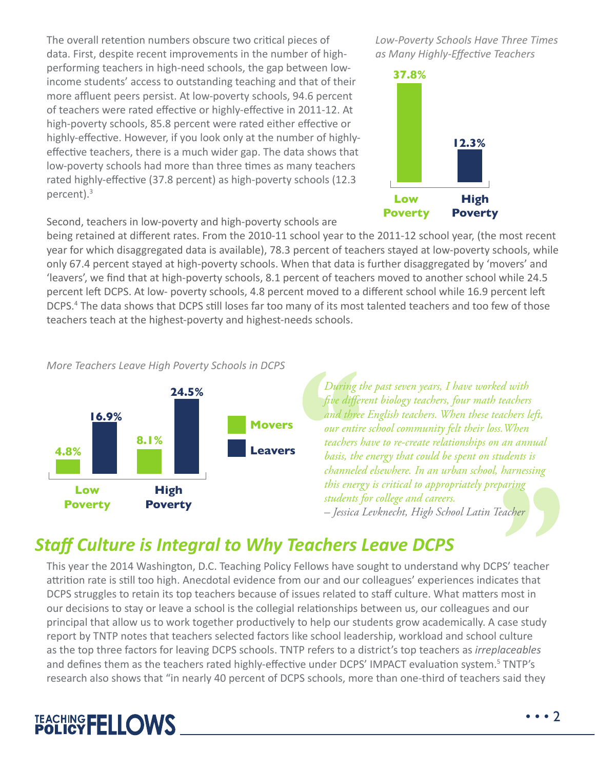The overall retention numbers obscure two critical pieces of data. First, despite recent improvements in the number of highperforming teachers in high-need schools, the gap between lowincome students' access to outstanding teaching and that of their more affluent peers persist. At low-poverty schools, 94.6 percent of teachers were rated effective or highly-effective in 2011-12. At high-poverty schools, 85.8 percent were rated either effective or highly-effective. However, if you look only at the number of highlyeffective teachers, there is a much wider gap. The data shows that low-poverty schools had more than three times as many teachers rated highly-effective (37.8 percent) as high-poverty schools (12.3 percent).3

Second, teachers in low-poverty and high-poverty schools are

*Low-Poverty Schools Have Three Times as Many Highly-Effective Teachers*



being retained at different rates. From the 2010-11 school year to the 2011-12 school year, (the most recent year for which disaggregated data is available), 78.3 percent of teachers stayed at low-poverty schools, while only 67.4 percent stayed at high-poverty schools. When that data is further disaggregated by 'movers' and 'leavers', we find that at high-poverty schools, 8.1 percent of teachers moved to another school while 24.5 percent left DCPS. At low- poverty schools, 4.8 percent moved to a different school while 16.9 percent left DCPS.4 The data shows that DCPS still loses far too many of its most talented teachers and too few of those teachers teach at the highest-poverty and highest-needs schools.

#### *More Teachers Leave High Poverty Schools in DCPS*



*During the past seven years, I have worked with five different biology teachers, four math teachers and three English teachers. When these teachers left, our entire school community felt their loss.When teachers have to re-create relationships on an annual basis, the energy that could be spent on students is channeled elsewhere. In an urban school, harnessing this energy is critical to appropriately preparing students for college and careers. – Jessica Levknecht, High School Latin Teacher*

#### *Staff Culture is Integral to Why Teachers Leave DCPS*

This year the 2014 Washington, D.C. Teaching Policy Fellows have sought to understand why DCPS' teacher attrition rate is still too high. Anecdotal evidence from our and our colleagues' experiences indicates that DCPS struggles to retain its top teachers because of issues related to staff culture. What matters most in our decisions to stay or leave a school is the collegial relationships between us, our colleagues and our principal that allow us to work together productively to help our students grow academically. A case study report by TNTP notes that teachers selected factors like school leadership, workload and school culture as the top three factors for leaving DCPS schools. TNTP refers to a district's top teachers as *irreplaceables* and defines them as the teachers rated highly-effective under DCPS' IMPACT evaluation system.<sup>5</sup> TNTP's research also shows that "in nearly 40 percent of DCPS schools, more than one-third of teachers said they

### TEACHING FELLOWS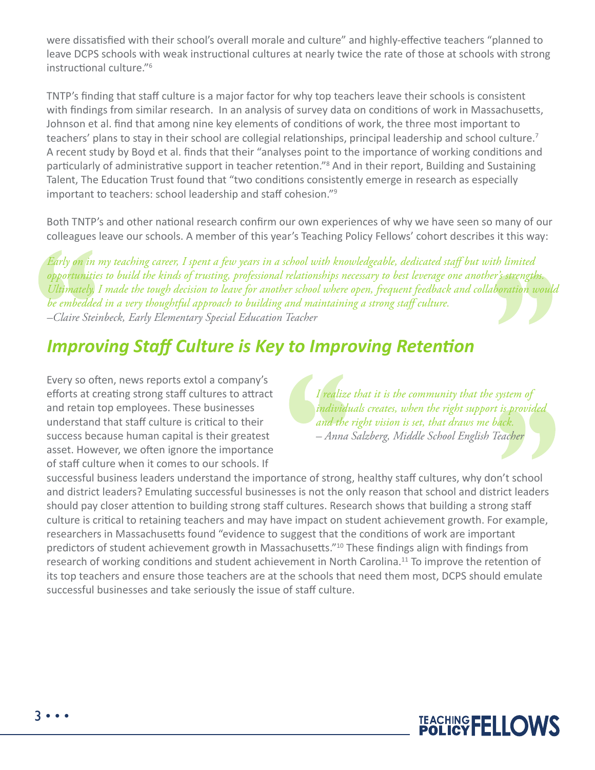were dissatisfied with their school's overall morale and culture" and highly-effective teachers "planned to leave DCPS schools with weak instructional cultures at nearly twice the rate of those at schools with strong instructional culture."6

TNTP's finding that staff culture is a major factor for why top teachers leave their schools is consistent with findings from similar research. In an analysis of survey data on conditions of work in Massachusetts, Johnson et al. find that among nine key elements of conditions of work, the three most important to teachers' plans to stay in their school are collegial relationships, principal leadership and school culture.7 A recent study by Boyd et al. finds that their "analyses point to the importance of working conditions and particularly of administrative support in teacher retention."<sup>8</sup> And in their report, Building and Sustaining Talent, The Education Trust found that "two conditions consistently emerge in research as especially important to teachers: school leadership and staff cohesion."9

Both TNTP's and other national research confirm our own experiences of why we have seen so many of our colleagues leave our schools. A member of this year's Teaching Policy Fellows' cohort describes it this way:

*Early on in my teaching career, I spent a few years in a school with knowledgeable, dedicated staff but with limited opportunities to build the kinds of trusting, professional relationships necessary to best leverage one another's strengths. Ultimately, I made the tough decision to leave for another school where open, frequent feedback and collaboration would be embedded in a very thoughtful approach to building and maintaining a strong staff culture. –Claire Steinbeck, Early Elementary Special Education Teacher*

#### *Improving Staff Culture is Key to Improving Retention*

Every so often, news reports extol a company's efforts at creating strong staff cultures to attract and retain top employees. These businesses understand that staff culture is critical to their success because human capital is their greatest asset. However, we often ignore the importance of staff culture when it comes to our schools. If

*I realize that it is the community that the system of individuals creates, when the right support is provided and the right vision is set, that draws me back. – Anna Salzberg, Middle School English Teacher*

successful business leaders understand the importance of strong, healthy staff cultures, why don't school and district leaders? Emulating successful businesses is not the only reason that school and district leaders should pay closer attention to building strong staff cultures. Research shows that building a strong staff culture is critical to retaining teachers and may have impact on student achievement growth. For example, researchers in Massachusetts found "evidence to suggest that the conditions of work are important predictors of student achievement growth in Massachusetts."10 These findings align with findings from research of working conditions and student achievement in North Carolina.<sup>11</sup> To improve the retention of its top teachers and ensure those teachers are at the schools that need them most, DCPS should emulate successful businesses and take seriously the issue of staff culture.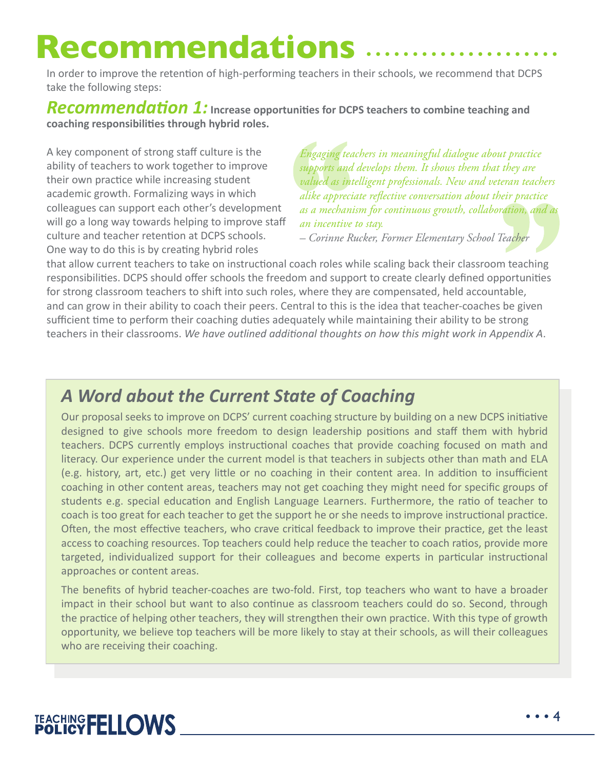## **Recommendations**

In order to improve the retention of high-performing teachers in their schools, we recommend that DCPS take the following steps:

*Recommendation 1:***Increase opportunities for DCPS teachers to combine teaching and coaching responsibilities through hybrid roles.**

A key component of strong staff culture is the ability of teachers to work together to improve their own practice while increasing student academic growth. Formalizing ways in which colleagues can support each other's development will go a long way towards helping to improve staff culture and teacher retention at DCPS schools. One way to do this is by creating hybrid roles

*Engaging teachers in meaningful dialogue about practice supports and develops them. It shows them that they are valued as intelligent professionals. New and veteran teachers alike appreciate reflective conversation about their practice as a mechanism for continuous growth, collaboration, and as an incentive to stay.*

*– Corinne Rucker, Former Elementary School Teacher*

that allow current teachers to take on instructional coach roles while scaling back their classroom teaching responsibilities. DCPS should offer schools the freedom and support to create clearly defined opportunities for strong classroom teachers to shift into such roles, where they are compensated, held accountable, and can grow in their ability to coach their peers. Central to this is the idea that teacher-coaches be given sufficient time to perform their coaching duties adequately while maintaining their ability to be strong teachers in their classrooms. *We have outlined additional thoughts on how this might work in Appendix A*.

#### *A Word about the Current State of Coaching*

Our proposal seeks to improve on DCPS' current coaching structure by building on a new DCPS initiative designed to give schools more freedom to design leadership positions and staff them with hybrid teachers. DCPS currently employs instructional coaches that provide coaching focused on math and literacy. Our experience under the current model is that teachers in subjects other than math and ELA (e.g. history, art, etc.) get very little or no coaching in their content area. In addition to insufficient coaching in other content areas, teachers may not get coaching they might need for specific groups of students e.g. special education and English Language Learners. Furthermore, the ratio of teacher to coach is too great for each teacher to get the support he or she needs to improve instructional practice. Often, the most effective teachers, who crave critical feedback to improve their practice, get the least access to coaching resources. Top teachers could help reduce the teacher to coach ratios, provide more targeted, individualized support for their colleagues and become experts in particular instructional approaches or content areas.

The benefits of hybrid teacher-coaches are two-fold. First, top teachers who want to have a broader impact in their school but want to also continue as classroom teachers could do so. Second, through the practice of helping other teachers, they will strengthen their own practice. With this type of growth opportunity, we believe top teachers will be more likely to stay at their schools, as will their colleagues who are receiving their coaching.

### TEACHING FELLOWS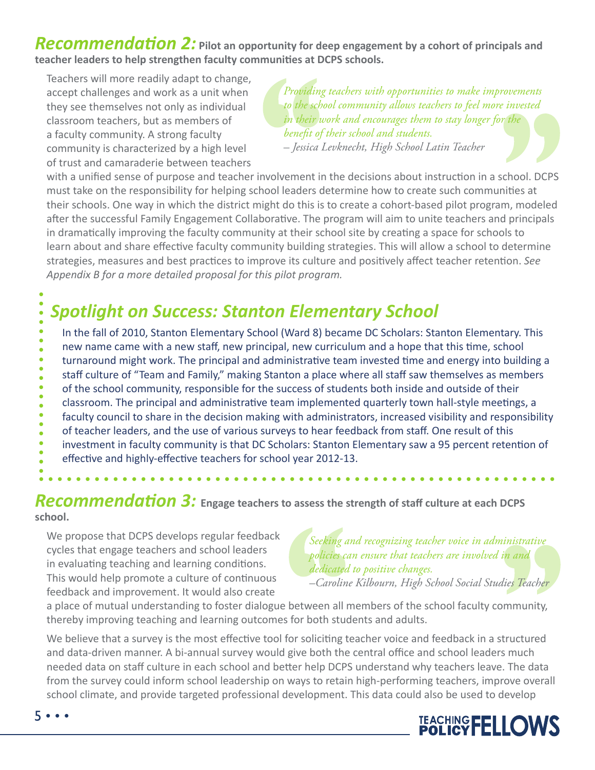*Recommendation 2:* **Pilot an opportunity for deep engagement by a cohort of principals and teacher leaders to help strengthen faculty communities at DCPS schools.**

Teachers will more readily adapt to change, accept challenges and work as a unit when they see themselves not only as individual classroom teachers, but as members of a faculty community. A strong faculty community is characterized by a high level of trust and camaraderie between teachers

*Providing teachers with opportunities to make improvements to the school community allows teachers to feel more invested in their work and encourages them to stay longer for the benefit of their school and students. – Jessica Levknecht, High School Latin Teacher*

with a unified sense of purpose and teacher involvement in the decisions about instruction in a school. DCPS must take on the responsibility for helping school leaders determine how to create such communities at their schools. One way in which the district might do this is to create a cohort-based pilot program, modeled after the successful Family Engagement Collaborative. The program will aim to unite teachers and principals in dramatically improving the faculty community at their school site by creating a space for schools to learn about and share effective faculty community building strategies. This will allow a school to determine strategies, measures and best practices to improve its culture and positively affect teacher retention. *See Appendix B for a more detailed proposal for this pilot program.*

• **Spotlight on Success: Stanton Elementary School**<br>• **Spotlight on Success: Stanton Elementary School**<br>• In the fall of 2010, Stanton Elementary School (Ward 8) became DC Scholars: Stanton Elementary. This<br>• new name came In the fall of 2010, Stanton Elementary School (Ward 8) became DC Scholars: Stanton Elementary. This new name came with a new staff, new principal, new curriculum and a hope that this time, school turnaround might work. The principal and administrative team invested time and energy into building a staff culture of "Team and Family," making Stanton a place where all staff saw themselves as members of the school community, responsible for the success of students both inside and outside of their classroom. The principal and administrative team implemented quarterly town hall-style meetings, a faculty council to share in the decision making with administrators, increased visibility and responsibility of teacher leaders, and the use of various surveys to hear feedback from staff. One result of this investment in faculty community is that DC Scholars: Stanton Elementary saw a 95 percent retention of effective and highly-effective teachers for school year 2012-13.

#### *Recommendation 3:* **Engage teachers to assess the strength of staff culture at each DCPS school.**

We propose that DCPS develops regular feedback cycles that engage teachers and school leaders in evaluating teaching and learning conditions. This would help promote a culture of continuous feedback and improvement. It would also create

*Seeking and recognizing teacher voice in administrative policies can ensure that teachers are involved in and dedicated to positive changes.* 

*–Caroline Kilbourn, High School Social Studies Teacher*

a place of mutual understanding to foster dialogue between all members of the school faculty community, thereby improving teaching and learning outcomes for both students and adults.

We believe that a survey is the most effective tool for soliciting teacher voice and feedback in a structured and data-driven manner. A bi-annual survey would give both the central office and school leaders much needed data on staff culture in each school and better help DCPS understand why teachers leave. The data from the survey could inform school leadership on ways to retain high-performing teachers, improve overall school climate, and provide targeted professional development. This data could also be used to develop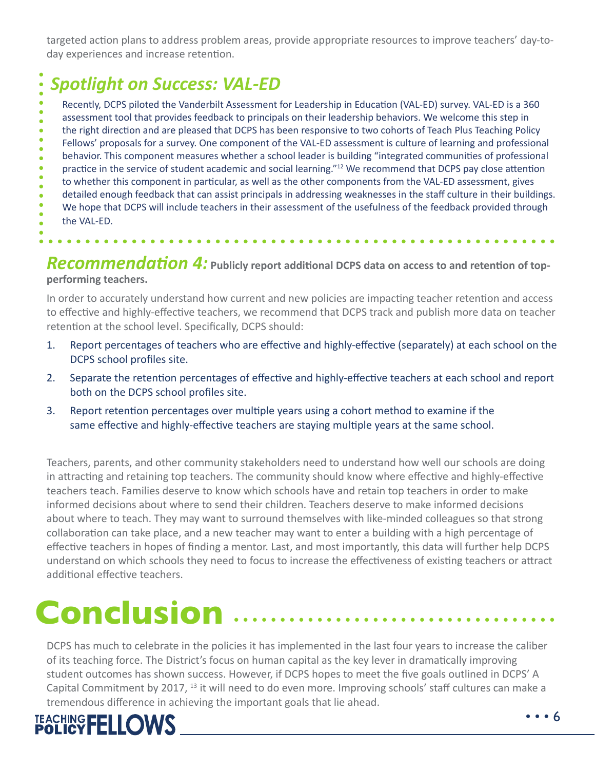targeted action plans to address problem areas, provide appropriate resources to improve teachers' day-today experiences and increase retention.

**• • Spotlight on Success: VAL-ED**<br> **•** • Recently, DCES piloted the Vanderbilt Assessment for Leadership in Education (VAL-ED) survey. VAL-ED is a 360<br>
assessment tool that provides feedback to principals on their leaders Recently, DCPS piloted the Vanderbilt Assessment for Leadership in Education (VAL-ED) survey. VAL-ED is a 360 assessment tool that provides feedback to principals on their leadership behaviors. We welcome this step in the right direction and are pleased that DCPS has been responsive to two cohorts of Teach Plus Teaching Policy Fellows' proposals for a survey. One component of the VAL-ED assessment is culture of learning and professional behavior. This component measures whether a school leader is building "integrated communities of professional practice in the service of student academic and social learning."12 We recommend that DCPS pay close attention to whether this component in particular, as well as the other components from the VAL-ED assessment, gives detailed enough feedback that can assist principals in addressing weaknesses in the staff culture in their buildings. We hope that DCPS will include teachers in their assessment of the usefulness of the feedback provided through the VAL-ED.

Recommendation 4: Publicly report additional DCPS data on access to and retention of top**performing teachers.**

In order to accurately understand how current and new policies are impacting teacher retention and access to effective and highly-effective teachers, we recommend that DCPS track and publish more data on teacher retention at the school level. Specifically, DCPS should:

- 1. Report percentages of teachers who are effective and highly-effective (separately) at each school on the DCPS school profiles site.
- 2. Separate the retention percentages of effective and highly-effective teachers at each school and report both on the DCPS school profiles site.
- 3. Report retention percentages over multiple years using a cohort method to examine if the same effective and highly-effective teachers are staying multiple years at the same school.

Teachers, parents, and other community stakeholders need to understand how well our schools are doing in attracting and retaining top teachers. The community should know where effective and highly-effective teachers teach. Families deserve to know which schools have and retain top teachers in order to make informed decisions about where to send their children. Teachers deserve to make informed decisions about where to teach. They may want to surround themselves with like-minded colleagues so that strong collaboration can take place, and a new teacher may want to enter a building with a high percentage of effective teachers in hopes of finding a mentor. Last, and most importantly, this data will further help DCPS understand on which schools they need to focus to increase the effectiveness of existing teachers or attract additional effective teachers.

### **Conclusion ....**

DCPS has much to celebrate in the policies it has implemented in the last four years to increase the caliber of its teaching force. The District's focus on human capital as the key lever in dramatically improving student outcomes has shown success. However, if DCPS hopes to meet the five goals outlined in DCPS' A Capital Commitment by 2017, <sup>13</sup> it will need to do even more. Improving schools' staff cultures can make a tremendous difference in achieving the important goals that lie ahead.

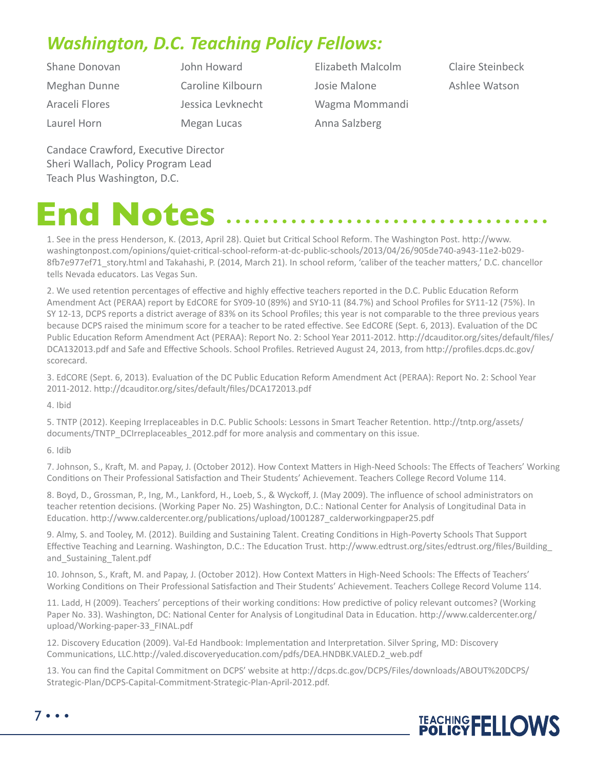### *Washington, D.C. Teaching Policy Fellows:*

| Shane Donovan  | John Howard       |
|----------------|-------------------|
| Meghan Dunne   | Caroline Kilbourn |
| Araceli Flores | Jessica Levknecht |
| Laurel Horn    | Megan Lucas       |

Elizabeth Malcolm Josie Malone Wagma Mommandi Anna Salzberg

Claire Steinbeck Ashlee Watson

Candace Crawford, Executive Director Sheri Wallach, Policy Program Lead Teach Plus Washington, D.C.

### **End Notes**

1. See in the press Henderson, K. (2013, April 28). Quiet but Critical School Reform. The Washington Post. http://www. washingtonpost.com/opinions/quiet-critical-school-reform-at-dc-public-schools/2013/04/26/905de740-a943-11e2-b029- 8fb7e977ef71\_story.html and Takahashi, P. (2014, March 21). In school reform, 'caliber of the teacher matters,' D.C. chancellor tells Nevada educators. Las Vegas Sun.

2. We used retention percentages of effective and highly effective teachers reported in the D.C. Public Education Reform Amendment Act (PERAA) report by EdCORE for SY09-10 (89%) and SY10-11 (84.7%) and School Profiles for SY11-12 (75%). In SY 12-13, DCPS reports a district average of 83% on its School Profiles; this year is not comparable to the three previous years because DCPS raised the minimum score for a teacher to be rated effective. See EdCORE (Sept. 6, 2013). Evaluation of the DC Public Education Reform Amendment Act (PERAA): Report No. 2: School Year 2011-2012. http://dcauditor.org/sites/default/files/ DCA132013.pdf and Safe and Effective Schools. School Profiles. Retrieved August 24, 2013, from http://profiles.dcps.dc.gov/ scorecard.

3. EdCORE (Sept. 6, 2013). Evaluation of the DC Public Education Reform Amendment Act (PERAA): Report No. 2: School Year 2011-2012. http://dcauditor.org/sites/default/files/DCA172013.pdf

4. Ibid

5. TNTP (2012). Keeping Irreplaceables in D.C. Public Schools: Lessons in Smart Teacher Retention. http://tntp.org/assets/ documents/TNTP\_DCIrreplaceables\_2012.pdf for more analysis and commentary on this issue.

6. Idib

7. Johnson, S., Kraft, M. and Papay, J. (October 2012). How Context Matters in High-Need Schools: The Effects of Teachers' Working Conditions on Their Professional Satisfaction and Their Students' Achievement. Teachers College Record Volume 114.

8. Boyd, D., Grossman, P., Ing, M., Lankford, H., Loeb, S., & Wyckoff, J. (May 2009). The influence of school administrators on teacher retention decisions. (Working Paper No. 25) Washington, D.C.: National Center for Analysis of Longitudinal Data in Education. http://www.caldercenter.org/publications/upload/1001287\_calderworkingpaper25.pdf

9. Almy, S. and Tooley, M. (2012). Building and Sustaining Talent. Creating Conditions in High-Poverty Schools That Support Effective Teaching and Learning. Washington, D.C.: The Education Trust. http://www.edtrust.org/sites/edtrust.org/files/Building\_ and Sustaining Talent.pdf

10. Johnson, S., Kraft, M. and Papay, J. (October 2012). How Context Matters in High-Need Schools: The Effects of Teachers' Working Conditions on Their Professional Satisfaction and Their Students' Achievement. Teachers College Record Volume 114.

11. Ladd, H (2009). Teachers' perceptions of their working conditions: How predictive of policy relevant outcomes? (Working Paper No. 33). Washington, DC: National Center for Analysis of Longitudinal Data in Education. http://www.caldercenter.org/ upload/Working-paper-33\_FINAL.pdf

12. Discovery Education (2009). Val-Ed Handbook: Implementation and Interpretation. Silver Spring, MD: Discovery Communications, LLC.http://valed.discoveryeducation.com/pdfs/DEA.HNDBK.VALED.2\_web.pdf

13. You can find the Capital Commitment on DCPS' website at http://dcps.dc.gov/DCPS/Files/downloads/ABOUT%20DCPS/ Strategic-Plan/DCPS-Capital-Commitment-Strategic-Plan-April-2012.pdf.



7 • • •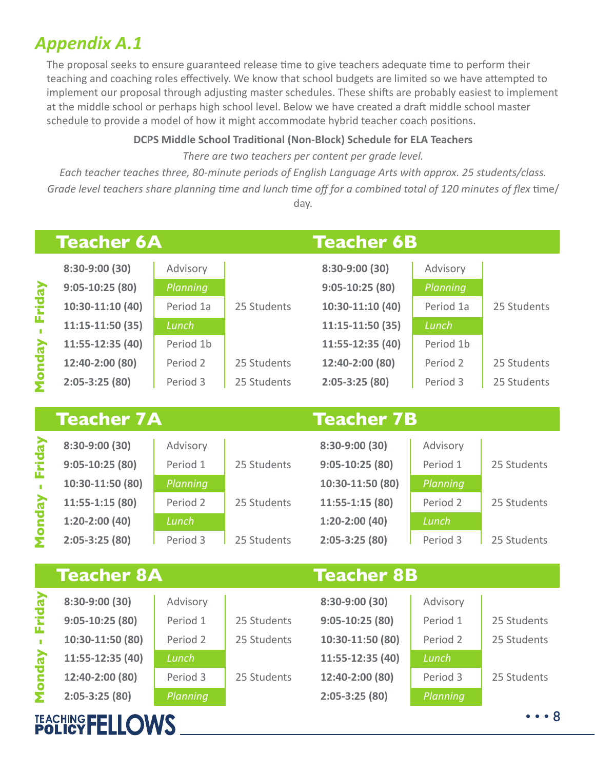#### *Appendix A.1*

The proposal seeks to ensure guaranteed release time to give teachers adequate time to perform their teaching and coaching roles effectively. We know that school budgets are limited so we have attempted to implement our proposal through adjusting master schedules. These shifts are probably easiest to implement at the middle school or perhaps high school level. Below we have created a draft middle school master schedule to provide a model of how it might accommodate hybrid teacher coach positions.

#### **DCPS Middle School Traditional (Non-Block) Schedule for ELA Teachers**

*There are two teachers per content per grade level.*

*Each teacher teaches three, 80-minute periods of English Language Arts with approx. 25 students/class. Grade level teachers share planning time and lunch time off for a combined total of 120 minutes of flex time/* day.

|               | <b>Teacher 6A</b>  |           |             | <b>Teacher 6B</b>  |           |             |
|---------------|--------------------|-----------|-------------|--------------------|-----------|-------------|
|               | 8:30-9:00 (30)     | Advisory  |             | 8:30-9:00 (30)     | Advisory  |             |
| Friday        | $9:05-10:25(80)$   | Planning  |             | $9:05-10:25(80)$   | Planning  |             |
|               | 10:30-11:10 (40)   | Period 1a | 25 Students | 10:30-11:10 (40)   | Period 1a | 25 Students |
| $\mathbf{r}$  | $11:15-11:50(35)$  | Lunch     |             | $11:15-11:50(35)$  | Lunch     |             |
|               | 11:55-12:35 (40)   | Period 1b |             | 11:55-12:35 (40)   | Period 1b |             |
|               | 12:40-2:00 (80)    | Period 2  | 25 Students | 12:40-2:00 (80)    | Period 2  | 25 Students |
| <b>Monday</b> | $2:05-3:25(80)$    | Period 3  | 25 Students | $2:05-3:25(80)$    | Period 3  | 25 Students |
|               |                    |           |             |                    |           |             |
|               | <b>Teacher 7A</b>  |           |             | <b>Teacher 7B</b>  |           |             |
|               | 8:30-9:00 (30)     | Advisory  |             | 8:30-9:00 (30)     | Advisory  |             |
| Friday        | $9:05 - 10:25(80)$ | Period 1  | 25 Students | $9:05-10:25(80)$   | Period 1  | 25 Students |
| f,            | 10:30-11:50 (80)   | Planning  |             | 10:30-11:50 (80)   | Planning  |             |
|               | 11:55-1:15 (80)    | Period 2  | 25 Students | 11:55-1:15 (80)    | Period 2  | 25 Students |
| <b>Monday</b> | $1:20-2:00(40)$    | Lunch     |             | $1:20-2:00(40)$    | Lunch     |             |
|               | $2:05-3:25(80)$    | Period 3  | 25 Students | $2:05-3:25(80)$    | Period 3  | 25 Students |
|               |                    |           |             |                    |           |             |
|               | <b>Teacher 8A</b>  |           |             | <b>Teacher 8B</b>  |           |             |
|               | 8:30-9:00 (30)     | Advisory  |             | $8:30-9:00(30)$    | Advisory  |             |
| Friday        | $9:05-10:25(80)$   | Period 1  | 25 Students | $9:05 - 10:25(80)$ | Period 1  | 25 Students |
|               | 10:30-11:50 (80)   | Period 2  | 25 Students | 10:30-11:50 (80)   | Period 2  | 25 Students |
|               | 11:55-12:35 (40)   | Lunch     |             | 11:55-12:35 (40)   | Lunch     |             |
| Monda         | 12:40-2:00 (80)    | Period 3  | 25 Students | 12:40-2:00 (80)    | Period 3  | 25 Students |
|               | $2:05 - 3:25(80)$  | Planning  |             | $2:05 - 3:25(80)$  | Planning  |             |
|               | TEACHING FELLOWS   |           |             |                    |           | $\cdot$ 8   |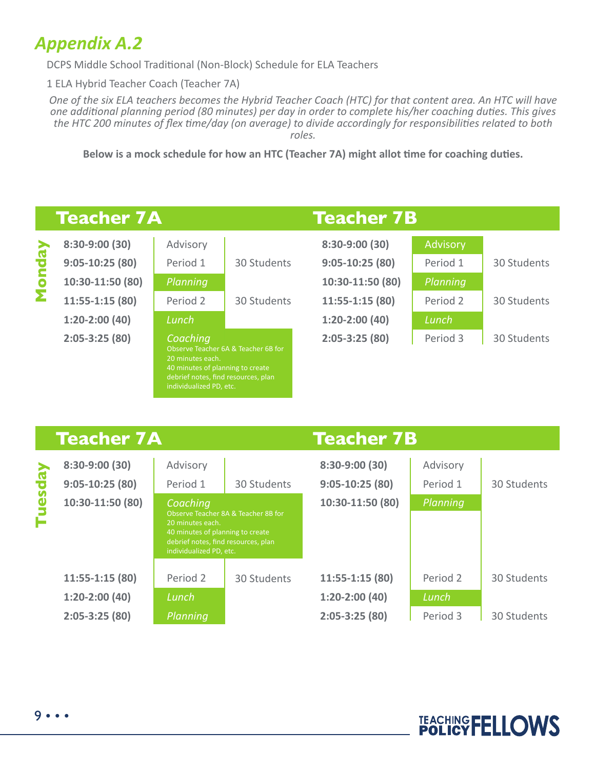#### *Appendix A.2*

DCPS Middle School Traditional (Non-Block) Schedule for ELA Teachers

1 ELA Hybrid Teacher Coach (Teacher 7A)

*One of the six ELA teachers becomes the Hybrid Teacher Coach (HTC) for that content area. An HTC will have one additional planning period (80 minutes) per day in order to complete his/her coaching duties. This gives the HTC 200 minutes of flex time/day (on average) to divide accordingly for responsibilities related to both roles.*

**Below is a mock schedule for how an HTC (Teacher 7A) might allot time for coaching duties.**

#### **Teache**

**Monday**

| 8:30-9:00 (30)   |
|------------------|
| $9:05-10:25(80)$ |
| 10:30-11:50 (80) |
| 11:55-1:15 (80)  |
| 1:20-2:00 (40)   |
| 2:05-3:25 (80)   |

| r 7A               |                                                                                                         |                                     | <b>Teacher 7B</b> |          |             |
|--------------------|---------------------------------------------------------------------------------------------------------|-------------------------------------|-------------------|----------|-------------|
| $\left( 0 \right)$ | Advisory                                                                                                |                                     | 8:30-9:00 (30)    | Advisory |             |
| 80)                | Period 1                                                                                                | 30 Students                         | $9:05-10:25(80)$  | Period 1 | 30 Students |
| (80)               | Planning                                                                                                |                                     | 10:30-11:50 (80)  | Planning |             |
| 80)                | Period 2                                                                                                | 30 Students                         | 11:55-1:15 (80)   | Period 2 | 30 Students |
| 0)                 | Lunch                                                                                                   |                                     | $1:20-2:00(40)$   | Lunch    |             |
| $\mathbf{0}$       | Coaching<br>20 minutes each.<br>40 minutes of planning to create<br>debrief notes, find resources, plan | Observe Teacher 6A & Teacher 6B for | $2:05-3:25(80)$   | Period 3 | 30 Students |

#### **Teacher 7A**

#### **Teacher 7B**

| <b>Arpsen</b> | $8:30-9:00(30)$<br>$9:05-10:25(80)$<br>10:30-11:50 (80) | Advisory<br>Period 1<br>Coaching<br>20 minutes each.<br>40 minutes of planning to create<br>debrief notes, find resources, plan<br>individualized PD, etc. | 30 Students<br>Observe Teacher 8A & Teacher 8B for | 8:30-9:00 (30)<br>$9:05-10:25(80)$<br>10:30-11:50 (80) | Advisory<br>Period 1<br>Planning | 30 Students |
|---------------|---------------------------------------------------------|------------------------------------------------------------------------------------------------------------------------------------------------------------|----------------------------------------------------|--------------------------------------------------------|----------------------------------|-------------|
|               | $11:55-1:15(80)$                                        | Period 2                                                                                                                                                   | 30 Students                                        | $11:55-1:15(80)$                                       | Period 2                         | 30 Students |
|               | $1:20-2:00(40)$                                         | Lunch                                                                                                                                                      |                                                    | $1:20-2:00(40)$                                        | Lunch                            |             |
|               | $2:05-3:25(80)$                                         | Planning                                                                                                                                                   |                                                    | $2:05-3:25(80)$                                        | Period 3                         | 30 Students |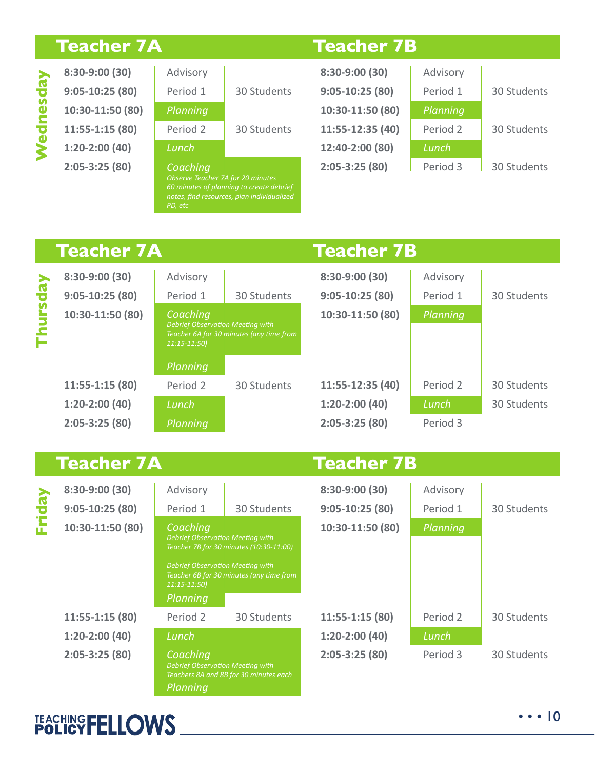#### **Teacher 7A**

Wednesday **Wednesday** **8:30-9:00 (30) 9:05-10:25 (80) 10:30-11:50 (80) 11:55-1:15 (80) 1:20-2:00 (40) 2:05-3:25 (80)**

| Advisory |             |
|----------|-------------|
| Period 1 | 30 Students |
| Planning |             |
| Period 2 | 30 Students |
| Lunch    |             |

#### *Coaching*

*Observe Teacher 7A for 20 minutes 60 minutes of planning to create debrief* 

| Teacher 7B       |          |             |  |  |
|------------------|----------|-------------|--|--|
| 8:30-9:00 (30)   | Advisory |             |  |  |
| $9:05-10:25(80)$ | Period 1 | 30 Students |  |  |
| 10:30-11:50 (80) | Planning |             |  |  |
| 11:55-12:35 (40) | Period 2 | 30 Students |  |  |
| 12:40-2:00 (80)  | Lunch    |             |  |  |
| $2:05-3:25(80)$  | Period 3 | 30 Students |  |  |

#### **Teacher 7A**

Thursday **Thursday**

| 8:30-9:00 (30)   | Advisory                                                   |                                          | 8:30-9:00 (30)      | Advisory |             |
|------------------|------------------------------------------------------------|------------------------------------------|---------------------|----------|-------------|
| $9:05-10:25(80)$ | Period 1                                                   | 30 Students                              | $9:05-10:25(80)$    | Period 1 | 30 Students |
| 10:30-11:50 (80) | Coaching                                                   |                                          | 10:30-11:50 (80)    | Planning |             |
|                  | <b>Debrief Observation Meeting with</b><br>$11:15 - 11:50$ | Teacher 6A for 30 minutes (any time from |                     |          |             |
|                  | Planning                                                   |                                          |                     |          |             |
| $11:55-1:15(80)$ | Period 2                                                   | 30 Students                              | $11:55 - 12:35(40)$ | Period 2 | 30 Students |
| $1:20-2:00(40)$  | Lunch                                                      |                                          | $1:20-2:00(40)$     | Lunch    | 30 Students |
| $2:05-3:25(80)$  | Planning                                                   |                                          | $2:05-3:25(80)$     | Period 3 |             |

**Teacher 7B**

|        | <b>Teacher 7A</b> |                                                                                                |                                                                                     | <b>Teacher 7B</b> |          |             |
|--------|-------------------|------------------------------------------------------------------------------------------------|-------------------------------------------------------------------------------------|-------------------|----------|-------------|
|        | 8:30-9:00 (30)    | Advisory                                                                                       |                                                                                     | 8:30-9:00 (30)    | Advisory |             |
| Friday | $9:05-10:25(80)$  | Period 1                                                                                       | 30 Students                                                                         | $9:05-10:25(80)$  | Period 1 | 30 Students |
|        | 10:30-11:50 (80)  | Coaching<br><b>Debrief Observation Meeting with</b><br><b>Debrief Observation Meeting with</b> | Teacher 7B for 30 minutes (10:30-11:00)<br>Teacher 6B for 30 minutes (any time from | 10:30-11:50 (80)  | Planning |             |
|        |                   | $11:15 - 11:50$<br>Planning                                                                    |                                                                                     |                   |          |             |
|        | $11:55-1:15(80)$  | Period 2                                                                                       | 30 Students                                                                         | $11:55-1:15(80)$  | Period 2 | 30 Students |
|        | $1:20-2:00(40)$   | Lunch                                                                                          |                                                                                     | $1:20-2:00(40)$   | Lunch    |             |
|        | $2:05-3:25(80)$   | Coaching<br><b>Debrief Observation Meeting with</b><br>Planning                                | Teachers 8A and 8B for 30 minutes each                                              | $2:05-3:25(80)$   | Period 3 | 30 Students |

### TEACHING **FELLOWS**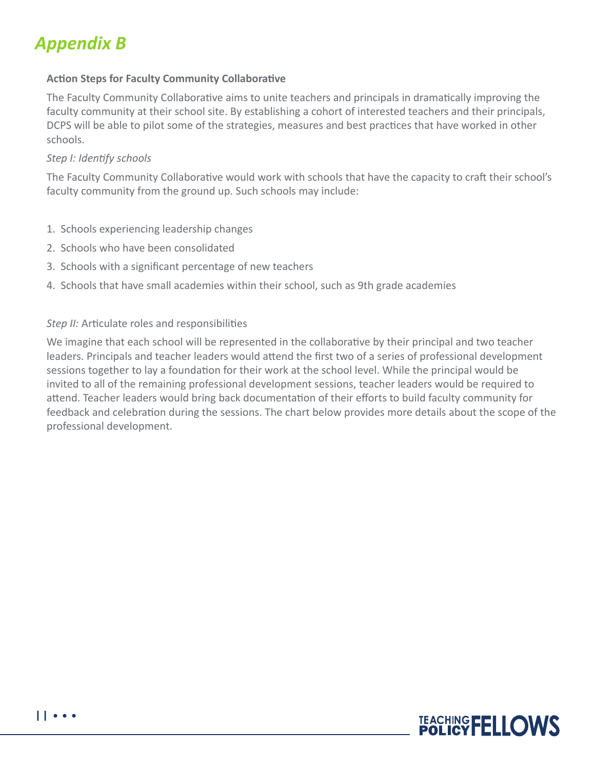### *Appendix B*

#### **Action Steps for Faculty Community Collaborative**

The Faculty Community Collaborative aims to unite teachers and principals in dramatically improving the faculty community at their school site. By establishing a cohort of interested teachers and their principals, DCPS will be able to pilot some of the strategies, measures and best practices that have worked in other schools.

#### *Step I: Identify schools*

The Faculty Community Collaborative would work with schools that have the capacity to craft their school's faculty community from the ground up. Such schools may include:

- 1. Schools experiencing leadership changes
- 2. Schools who have been consolidated
- 3. Schools with a significant percentage of new teachers
- 4. Schools that have small academies within their school, such as 9th grade academies

#### *Step II:* Articulate roles and responsibilities

We imagine that each school will be represented in the collaborative by their principal and two teacher leaders. Principals and teacher leaders would attend the first two of a series of professional development sessions together to lay a foundation for their work at the school level. While the principal would be invited to all of the remaining professional development sessions, teacher leaders would be required to attend. Teacher leaders would bring back documentation of their efforts to build faculty community for feedback and celebration during the sessions. The chart below provides more details about the scope of the professional development.

![](_page_10_Picture_11.jpeg)